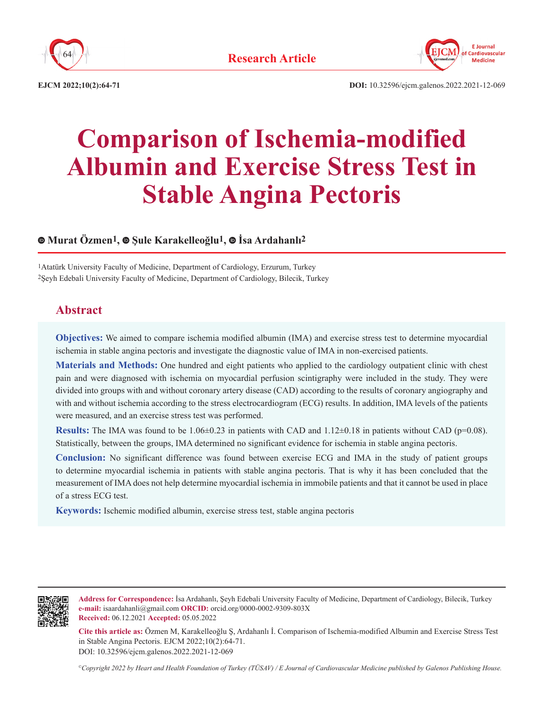



**EJCM 2022;10(2):64-71 DOI:** 10.32596/ejcm.galenos.2022.2021-12-069

# **Comparison of Ischemia-modified Albumin and Exercise Stress Test in Stable Angina Pectoris**

# **Murat Özmen1,Şule Karakelleoğlu1,İsa Ardahanlı2**

1Atatürk University Faculty of Medicine, Department of Cardiology, Erzurum, Turkey 2Şeyh Edebali University Faculty of Medicine, Department of Cardiology, Bilecik, Turkey

# **Abstract**

**Objectives:** We aimed to compare ischemia modified albumin (IMA) and exercise stress test to determine myocardial ischemia in stable angina pectoris and investigate the diagnostic value of IMA in non-exercised patients.

**Materials and Methods:** One hundred and eight patients who applied to the cardiology outpatient clinic with chest pain and were diagnosed with ischemia on myocardial perfusion scintigraphy were included in the study. They were divided into groups with and without coronary artery disease (CAD) according to the results of coronary angiography and with and without ischemia according to the stress electrocardiogram (ECG) results. In addition, IMA levels of the patients were measured, and an exercise stress test was performed.

**Results:** The IMA was found to be  $1.06 \pm 0.23$  in patients with CAD and  $1.12 \pm 0.18$  in patients without CAD (p=0.08). Statistically, between the groups, IMA determined no significant evidence for ischemia in stable angina pectoris.

**Conclusion:** No significant difference was found between exercise ECG and IMA in the study of patient groups to determine myocardial ischemia in patients with stable angina pectoris. That is why it has been concluded that the measurement of IMA does not help determine myocardial ischemia in immobile patients and that it cannot be used in place of a stress ECG test.

**Keywords:** Ischemic modified albumin, exercise stress test, stable angina pectoris



**Address for Correspondence:** İsa Ardahanlı, Şeyh Edebali University Faculty of Medicine, Department of Cardiology, Bilecik, Turkey **e-mail:** isaardahanli@gmail.com **ORCID:** orcid.org/0000-0002-9309-803X **Received:** 06.12.2021 **Accepted:** 05.05.2022

**Cite this article as:** Özmen M, Karakelleoğlu Ş, Ardahanlı İ. Comparison of Ischemia-modified Albumin and Exercise Stress Test in Stable Angina Pectoris. EJCM 2022;10(2):64-71. DOI: 10.32596/ejcm.galenos.2022.2021-12-069

*©Copyright 2022 by Heart and Health Foundation of Turkey (TÜSAV) / E Journal of Cardiovascular Medicine published by Galenos Publishing House.*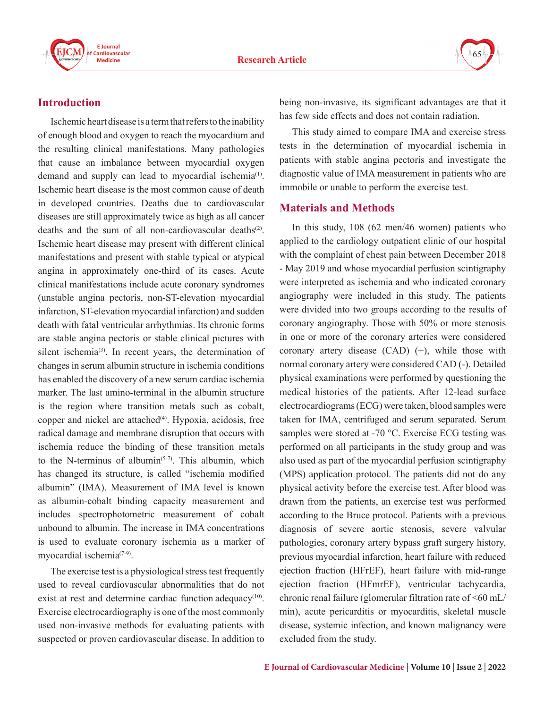



# **Introduction**

Ischemic heart disease is a term that refers to the inability of enough blood and oxygen to reach the myocardium and the resulting clinical manifestations. Many pathologies that cause an imbalance between myocardial oxygen demand and supply can lead to myocardial ischemia<sup>(1)</sup>. Ischemic heart disease is the most common cause of death in developed countries. Deaths due to cardiovascular diseases are still approximately twice as high as all cancer deaths and the sum of all non-cardiovascular deaths<sup>(2)</sup>. Ischemic heart disease may present with different clinical manifestations and present with stable typical or atypical angina in approximately one-third of its cases. Acute clinical manifestations include acute coronary syndromes (unstable angina pectoris, non-ST-elevation myocardial infarction, ST-elevation myocardial infarction) and sudden death with fatal ventricular arrhythmias. Its chronic forms are stable angina pectoris or stable clinical pictures with silent ischemia<sup>(3)</sup>. In recent years, the determination of changes in serum albumin structure in ischemia conditions has enabled the discovery of a new serum cardiac ischemia marker. The last amino-terminal in the albumin structure is the region where transition metals such as cobalt, copper and nickel are attached $(4)$ . Hypoxia, acidosis, free radical damage and membrane disruption that occurs with ischemia reduce the binding of these transition metals to the N-terminus of albumin<sup> $(5-7)$ </sup>. This albumin, which has changed its structure, is called "ischemia modified albumin" (IMA). Measurement of IMA level is known as albumin-cobalt binding capacity measurement and includes spectrophotometric measurement of cobalt unbound to albumin. The increase in IMA concentrations is used to evaluate coronary ischemia as a marker of myocardial ischemia<sup>(7-9)</sup>.

The exercise test is a physiological stress test frequently used to reveal cardiovascular abnormalities that do not exist at rest and determine cardiac function adequacy<sup>(10)</sup>. Exercise electrocardiography is one of the most commonly used non-invasive methods for evaluating patients with suspected or proven cardiovascular disease. In addition to

being non-invasive, its significant advantages are that it has few side effects and does not contain radiation.

This study aimed to compare IMA and exercise stress tests in the determination of myocardial ischemia in patients with stable angina pectoris and investigate the diagnostic value of IMA measurement in patients who are immobile or unable to perform the exercise test.

# **Materials and Methods**

In this study, 108 (62 men/46 women) patients who applied to the cardiology outpatient clinic of our hospital with the complaint of chest pain between December 2018 - May 2019 and whose myocardial perfusion scintigraphy were interpreted as ischemia and who indicated coronary angiography were included in this study. The patients were divided into two groups according to the results of coronary angiography. Those with 50% or more stenosis in one or more of the coronary arteries were considered coronary artery disease (CAD) (+), while those with normal coronary artery were considered CAD (-). Detailed physical examinations were performed by questioning the medical histories of the patients. After 12-lead surface electrocardiograms (ECG) were taken, blood samples were taken for IMA, centrifuged and serum separated. Serum samples were stored at -70 °C. Exercise ECG testing was performed on all participants in the study group and was also used as part of the myocardial perfusion scintigraphy (MPS) application protocol. The patients did not do any physical activity before the exercise test. After blood was drawn from the patients, an exercise test was performed according to the Bruce protocol. Patients with a previous diagnosis of severe aortic stenosis, severe valvular pathologies, coronary artery bypass graft surgery history, previous myocardial infarction, heart failure with reduced ejection fraction (HFrEF), heart failure with mid-range ejection fraction (HFmrEF), ventricular tachycardia, chronic renal failure (glomerular filtration rate of <60 mL/ min), acute pericarditis or myocarditis, skeletal muscle disease, systemic infection, and known malignancy were excluded from the study.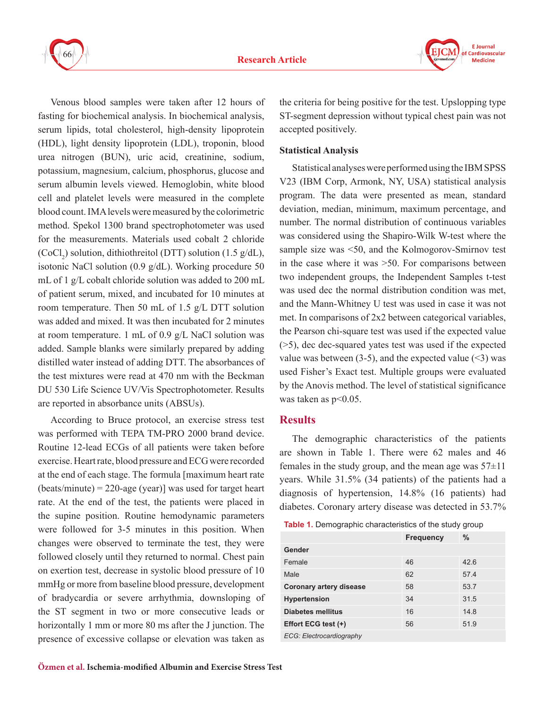



Venous blood samples were taken after 12 hours of fasting for biochemical analysis. In biochemical analysis, serum lipids, total cholesterol, high-density lipoprotein (HDL), light density lipoprotein (LDL), troponin, blood urea nitrogen (BUN), uric acid, creatinine, sodium, potassium, magnesium, calcium, phosphorus, glucose and serum albumin levels viewed. Hemoglobin, white blood cell and platelet levels were measured in the complete blood count. IMA levels were measured by the colorimetric method. Spekol 1300 brand spectrophotometer was used for the measurements. Materials used cobalt 2 chloride  $(CoCl<sub>2</sub>)$  solution, dithiothreitol (DTT) solution (1.5 g/dL), isotonic NaCl solution (0.9 g/dL). Working procedure 50 mL of 1 g/L cobalt chloride solution was added to 200 mL of patient serum, mixed, and incubated for 10 minutes at room temperature. Then 50 mL of 1.5 g/L DTT solution was added and mixed. It was then incubated for 2 minutes at room temperature. 1 mL of 0.9 g/L NaCl solution was added. Sample blanks were similarly prepared by adding distilled water instead of adding DTT. The absorbances of the test mixtures were read at 470 nm with the Beckman DU 530 Life Science UV/Vis Spectrophotometer. Results are reported in absorbance units (ABSUs).

According to Bruce protocol, an exercise stress test was performed with TEPA TM-PRO 2000 brand device. Routine 12-lead ECGs of all patients were taken before exercise. Heart rate, blood pressure and ECG were recorded at the end of each stage. The formula [maximum heart rate  $(beats/minute) = 220$ -age (year)] was used for target heart rate. At the end of the test, the patients were placed in the supine position. Routine hemodynamic parameters were followed for 3-5 minutes in this position. When changes were observed to terminate the test, they were followed closely until they returned to normal. Chest pain on exertion test, decrease in systolic blood pressure of 10 mmHg or more from baseline blood pressure, development of bradycardia or severe arrhythmia, downsloping of the ST segment in two or more consecutive leads or horizontally 1 mm or more 80 ms after the J junction. The presence of excessive collapse or elevation was taken as

the criteria for being positive for the test. Upslopping type ST-segment depression without typical chest pain was not accepted positively.

## **Statistical Analysis**

Statistical analyses were performed using the IBM SPSS V23 (IBM Corp, Armonk, NY, USA) statistical analysis program. The data were presented as mean, standard deviation, median, minimum, maximum percentage, and number. The normal distribution of continuous variables was considered using the Shapiro-Wilk W-test where the sample size was <50, and the Kolmogorov-Smirnov test in the case where it was >50. For comparisons between two independent groups, the Independent Samples t-test was used dec the normal distribution condition was met, and the Mann-Whitney U test was used in case it was not met. In comparisons of 2x2 between categorical variables, the Pearson chi-square test was used if the expected value (>5), dec dec-squared yates test was used if the expected value was between  $(3-5)$ , and the expected value  $(3)$  was used Fisher's Exact test. Multiple groups were evaluated by the Anovis method. The level of statistical significance was taken as  $p<0.05$ .

#### **Results**

The demographic characteristics of the patients are shown in Table 1. There were 62 males and 46 females in the study group, and the mean age was  $57\pm11$ years. While 31.5% (34 patients) of the patients had a diagnosis of hypertension, 14.8% (16 patients) had diabetes. Coronary artery disease was detected in 53.7%

**Table 1.** Demographic characteristics of the study group

|                                | <b>Frequency</b> | %    |
|--------------------------------|------------------|------|
| Gender                         |                  |      |
| Female                         | 46               | 42.6 |
| Male                           | 62               | 57.4 |
| <b>Coronary artery disease</b> | 58               | 53.7 |
| Hypertension                   | 34               | 31.5 |
| <b>Diabetes mellitus</b>       | 16               | 14.8 |
| Effort ECG test (+)            | 56               | 51.9 |
| ECG: Electrocardiography       |                  |      |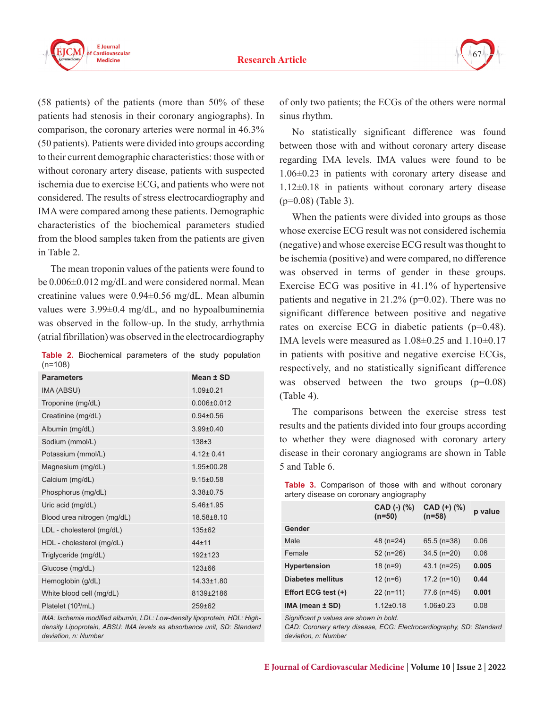

(58 patients) of the patients (more than 50% of these patients had stenosis in their coronary angiographs). In comparison, the coronary arteries were normal in 46.3% (50 patients). Patients were divided into groups according to their current demographic characteristics: those with or without coronary artery disease, patients with suspected ischemia due to exercise ECG, and patients who were not considered. The results of stress electrocardiography and IMA were compared among these patients. Demographic characteristics of the biochemical parameters studied from the blood samples taken from the patients are given in Table 2.

The mean troponin values of the patients were found to be 0.006±0.012 mg/dL and were considered normal. Mean creatinine values were 0.94±0.56 mg/dL. Mean albumin values were 3.99±0.4 mg/dL, and no hypoalbuminemia was observed in the follow-up. In the study, arrhythmia (atrial fibrillation) was observed in the electrocardiography

**Table 2.** Biochemical parameters of the study population (n=108)

| <b>Parameters</b>              | Mean ± SD         |
|--------------------------------|-------------------|
| IMA (ABSU)                     | $1.09 + 0.21$     |
| Troponine (mg/dL)              | $0.006 \pm 0.012$ |
| Creatinine (mg/dL)             | $0.94 \pm 0.56$   |
| Albumin (mg/dL)                | $3.99 \pm 0.40$   |
| Sodium (mmol/L)                | $138 + 3$         |
| Potassium (mmol/L)             | $4.12 \pm 0.41$   |
| Magnesium (mg/dL)              | 1.95±00.28        |
| Calcium (mg/dL)                | $9.15 \pm 0.58$   |
| Phosphorus (mg/dL)             | 3.38±0.75         |
| Uric acid (mg/dL)              | 5.46±1.95         |
| Blood urea nitrogen (mg/dL)    | 18.58±8.10        |
| LDL - cholesterol (mg/dL)      | 135±62            |
| HDL - cholesterol (mg/dL)      | $44 + 11$         |
| Triglyceride (mg/dL)           | 192±123           |
| Glucose (mg/dL)                | $123 \pm 66$      |
| Hemoglobin (g/dL)              | 14.33±1.80        |
| White blood cell (mg/dL)       | 8139±2186         |
| Platelet (10 <sup>3</sup> /mL) | $259 + 62$        |

*IMA: Ischemia modified albumin, LDL: Low-density lipoprotein, HDL: Highdensity Lipoprotein, ABSU: IMA levels as absorbance unit, SD: Standard deviation, n: Number*

of only two patients; the ECGs of the others were normal sinus rhythm.

No statistically significant difference was found between those with and without coronary artery disease regarding IMA levels. IMA values were found to be 1.06±0.23 in patients with coronary artery disease and 1.12±0.18 in patients without coronary artery disease (p=0.08) (Table 3).

When the patients were divided into groups as those whose exercise ECG result was not considered ischemia (negative) and whose exercise ECG result was thought to be ischemia (positive) and were compared, no difference was observed in terms of gender in these groups. Exercise ECG was positive in 41.1% of hypertensive patients and negative in 21.2% (p=0.02). There was no significant difference between positive and negative rates on exercise ECG in diabetic patients (p=0.48). IMA levels were measured as  $1.08\pm0.25$  and  $1.10\pm0.17$ in patients with positive and negative exercise ECGs, respectively, and no statistically significant difference was observed between the two groups (p=0.08) (Table 4).

The comparisons between the exercise stress test results and the patients divided into four groups according to whether they were diagnosed with coronary artery disease in their coronary angiograms are shown in Table 5 and Table 6.

| $\alpha$ , $\alpha$ , $\beta$ and $\alpha$ and $\beta$ and $\alpha$ and $\alpha$ and $\alpha$ and $\beta$ and $\beta$ and $\beta$ and $\beta$ and $\beta$ and $\beta$ and $\beta$ and $\beta$ and $\beta$ and $\beta$ and $\beta$ and $\beta$ and $\beta$ and $\beta$ and $\beta$ and $\beta$ and $\beta$ and $\$ |                         |         |  |
|-------------------------------------------------------------------------------------------------------------------------------------------------------------------------------------------------------------------------------------------------------------------------------------------------------------------|-------------------------|---------|--|
| $CAD$ (-) $(\% )$<br>$(n=50)$                                                                                                                                                                                                                                                                                     | CAD (+) (%)<br>$(n=58)$ | p value |  |
|                                                                                                                                                                                                                                                                                                                   |                         |         |  |
| 48 (n=24)                                                                                                                                                                                                                                                                                                         | $65.5$ (n=38)           | 0.06    |  |
| $52$ (n=26)                                                                                                                                                                                                                                                                                                       | $34.5$ (n=20)           | 0.06    |  |
| $18(n=9)$                                                                                                                                                                                                                                                                                                         | $43.1$ (n=25)           | 0.005   |  |
| $12(n=6)$                                                                                                                                                                                                                                                                                                         | $17.2$ (n=10)           | 0.44    |  |
| $22$ (n=11)                                                                                                                                                                                                                                                                                                       | 77.6 (n=45)             | 0.001   |  |
| $1.12 \pm 0.18$                                                                                                                                                                                                                                                                                                   | $1.06 \pm 0.23$         | 0.08    |  |
|                                                                                                                                                                                                                                                                                                                   |                         |         |  |

Table 3. Comparison of those with and without coronary artery disease on coronary angiography

*Significant p values are shown in bold.*

*CAD: Coronary artery disease, ECG: Electrocardiography, SD: Standard deviation, n: Number*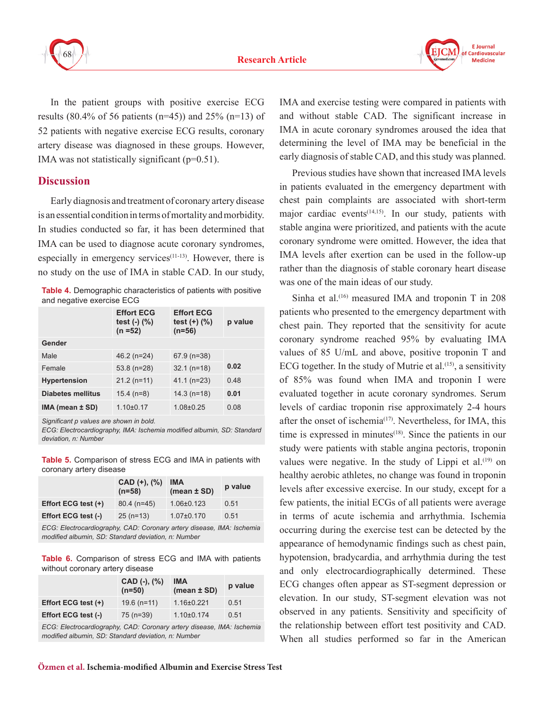



In the patient groups with positive exercise ECG results (80.4% of 56 patients (n=45)) and 25% (n=13) of 52 patients with negative exercise ECG results, coronary artery disease was diagnosed in these groups. However, IMA was not statistically significant (p=0.51).

## **Discussion**

Early diagnosis and treatment of coronary artery disease is an essential condition in terms of mortality and morbidity. In studies conducted so far, it has been determined that IMA can be used to diagnose acute coronary syndromes, especially in emergency services $(11-13)$ . However, there is no study on the use of IMA in stable CAD. In our study,

**Table 4.** Demographic characteristics of patients with positive and negative exercise ECG

|                          | <b>Effort ECG</b><br>test $(-)$ $(\%)$<br>$(n = 52)$ | <b>Effort ECG</b><br>test $(+)$ $(\%)$<br>$(n=56)$ | p value |
|--------------------------|------------------------------------------------------|----------------------------------------------------|---------|
| Gender                   |                                                      |                                                    |         |
| <b>Male</b>              | $46.2$ (n=24)                                        | $67.9$ (n=38)                                      |         |
| Female                   | $53.8$ (n=28)                                        | $32.1$ (n=18)                                      | 0.02    |
| <b>Hypertension</b>      | $21.2$ (n=11)                                        | $41.1$ (n=23)                                      | 0.48    |
| <b>Diabetes mellitus</b> | $15.4$ (n=8)                                         | $14.3$ (n=18)                                      | 0.01    |
| $IMA$ (mean $±$ SD)      | $1.10+0.17$                                          | $1.08 + 0.25$                                      | 0.08    |

*Significant p values are shown in bold.*

*ECG: Electrocardiography, IMA: Ischemia modified albumin, SD: Standard deviation, n: Number*

**Table 5.** Comparison of stress ECG and IMA in patients with coronary artery disease

|                     | $CAD (+) , (%)$<br>$(n=58)$ | IMA<br>$(mean \pm SD)$ | p value |
|---------------------|-----------------------------|------------------------|---------|
| Effort ECG test (+) | $80.4$ (n=45)               | $1.06 \pm 0.123$       | 0.51    |
| Effort ECG test (-) | $25(n=13)$                  | $1.07 \pm 0.170$       | 0.51    |

*ECG: Electrocardiography, CAD: Coronary artery disease, IMA: Ischemia modified albumin, SD: Standard deviation, n: Number*

**Table 6.** Comparison of stress ECG and IMA with patients without coronary artery disease

|                     | $CAD$ (-), $(\% )$<br>$(n=50)$ | <b>IMA</b><br>$(mean \pm SD)$ | p value |
|---------------------|--------------------------------|-------------------------------|---------|
| Effort ECG test (+) | $19.6$ (n=11)                  | $1.16 \pm 0.221$              | 0.51    |
| Effort ECG test (-) | 75 (n=39)                      | $1.10\pm0.174$                | 0.51    |

*ECG: Electrocardiography, CAD: Coronary artery disease, IMA: Ischemia modified albumin, SD: Standard deviation, n: Number*

IMA and exercise testing were compared in patients with and without stable CAD. The significant increase in IMA in acute coronary syndromes aroused the idea that determining the level of IMA may be beneficial in the early diagnosis of stable CAD, and this study was planned.

Previous studies have shown that increased IMA levels in patients evaluated in the emergency department with chest pain complaints are associated with short-term major cardiac events<sup> $(14,15)$ </sup>. In our study, patients with stable angina were prioritized, and patients with the acute coronary syndrome were omitted. However, the idea that IMA levels after exertion can be used in the follow-up rather than the diagnosis of stable coronary heart disease was one of the main ideas of our study.

Sinha et al.<sup>(16)</sup> measured IMA and troponin T in  $208$ patients who presented to the emergency department with chest pain. They reported that the sensitivity for acute coronary syndrome reached 95% by evaluating IMA values of 85 U/mL and above, positive troponin T and ECG together. In the study of Mutrie et al.<sup> $(15)$ </sup>, a sensitivity of 85% was found when IMA and troponin I were evaluated together in acute coronary syndromes. Serum levels of cardiac troponin rise approximately 2-4 hours after the onset of ischemia<sup> $(17)$ </sup>. Nevertheless, for IMA, this time is expressed in minutes $(18)$ . Since the patients in our study were patients with stable angina pectoris, troponin values were negative. In the study of Lippi et al. $(19)$  on healthy aerobic athletes, no change was found in troponin levels after excessive exercise. In our study, except for a few patients, the initial ECGs of all patients were average in terms of acute ischemia and arrhythmia. Ischemia occurring during the exercise test can be detected by the appearance of hemodynamic findings such as chest pain, hypotension, bradycardia, and arrhythmia during the test and only electrocardiographically determined. These ECG changes often appear as ST-segment depression or elevation. In our study, ST-segment elevation was not observed in any patients. Sensitivity and specificity of the relationship between effort test positivity and CAD. When all studies performed so far in the American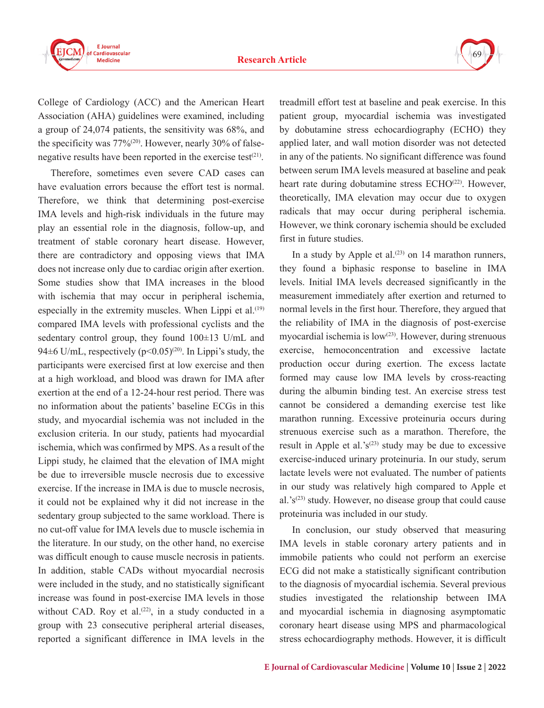

College of Cardiology (ACC) and the American Heart Association (AHA) guidelines were examined, including a group of 24,074 patients, the sensitivity was 68%, and the specificity was  $77\%^{(20)}$ . However, nearly 30% of falsenegative results have been reported in the exercise test $(21)$ .

Therefore, sometimes even severe CAD cases can have evaluation errors because the effort test is normal. Therefore, we think that determining post-exercise IMA levels and high-risk individuals in the future may play an essential role in the diagnosis, follow-up, and treatment of stable coronary heart disease. However, there are contradictory and opposing views that IMA does not increase only due to cardiac origin after exertion. Some studies show that IMA increases in the blood with ischemia that may occur in peripheral ischemia, especially in the extremity muscles. When Lippi et al. $(19)$ compared IMA levels with professional cyclists and the sedentary control group, they found  $100\pm13$  U/mL and 94 $\pm$ 6 U/mL, respectively (p<0.05)<sup>(20)</sup>. In Lippi's study, the participants were exercised first at low exercise and then at a high workload, and blood was drawn for IMA after exertion at the end of a 12-24-hour rest period. There was no information about the patients' baseline ECGs in this study, and myocardial ischemia was not included in the exclusion criteria. In our study, patients had myocardial ischemia, which was confirmed by MPS. As a result of the Lippi study, he claimed that the elevation of IMA might be due to irreversible muscle necrosis due to excessive exercise. If the increase in IMA is due to muscle necrosis, it could not be explained why it did not increase in the sedentary group subjected to the same workload. There is no cut-off value for IMA levels due to muscle ischemia in the literature. In our study, on the other hand, no exercise was difficult enough to cause muscle necrosis in patients. In addition, stable CADs without myocardial necrosis were included in the study, and no statistically significant increase was found in post-exercise IMA levels in those without CAD. Roy et al. $(22)$ , in a study conducted in a group with 23 consecutive peripheral arterial diseases, reported a significant difference in IMA levels in the

treadmill effort test at baseline and peak exercise. In this patient group, myocardial ischemia was investigated by dobutamine stress echocardiography (ECHO) they applied later, and wall motion disorder was not detected in any of the patients. No significant difference was found between serum IMA levels measured at baseline and peak heart rate during dobutamine stress ECHO<sup>(22)</sup>. However, theoretically, IMA elevation may occur due to oxygen radicals that may occur during peripheral ischemia. However, we think coronary ischemia should be excluded first in future studies.

In a study by Apple et al. $(23)$  on 14 marathon runners, they found a biphasic response to baseline in IMA levels. Initial IMA levels decreased significantly in the measurement immediately after exertion and returned to normal levels in the first hour. Therefore, they argued that the reliability of IMA in the diagnosis of post-exercise myocardial ischemia is  $low^{(23)}$ . However, during strenuous exercise, hemoconcentration and excessive lactate production occur during exertion. The excess lactate formed may cause low IMA levels by cross-reacting during the albumin binding test. An exercise stress test cannot be considered a demanding exercise test like marathon running. Excessive proteinuria occurs during strenuous exercise such as a marathon. Therefore, the result in Apple et al.'s<sup> $(23)$ </sup> study may be due to excessive exercise-induced urinary proteinuria. In our study, serum lactate levels were not evaluated. The number of patients in our study was relatively high compared to Apple et al.' $s^{(23)}$  study. However, no disease group that could cause proteinuria was included in our study.

In conclusion, our study observed that measuring IMA levels in stable coronary artery patients and in immobile patients who could not perform an exercise ECG did not make a statistically significant contribution to the diagnosis of myocardial ischemia. Several previous studies investigated the relationship between IMA and myocardial ischemia in diagnosing asymptomatic coronary heart disease using MPS and pharmacological stress echocardiography methods. However, it is difficult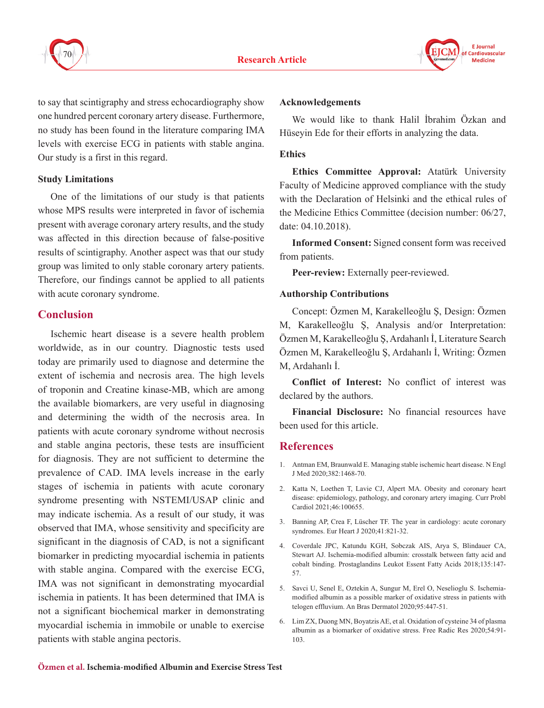



to say that scintigraphy and stress echocardiography show one hundred percent coronary artery disease. Furthermore, no study has been found in the literature comparing IMA levels with exercise ECG in patients with stable angina. Our study is a first in this regard.

#### **Study Limitations**

One of the limitations of our study is that patients whose MPS results were interpreted in favor of ischemia present with average coronary artery results, and the study was affected in this direction because of false-positive results of scintigraphy. Another aspect was that our study group was limited to only stable coronary artery patients. Therefore, our findings cannot be applied to all patients with acute coronary syndrome.

## **Conclusion**

Ischemic heart disease is a severe health problem worldwide, as in our country. Diagnostic tests used today are primarily used to diagnose and determine the extent of ischemia and necrosis area. The high levels of troponin and Creatine kinase-MB, which are among the available biomarkers, are very useful in diagnosing and determining the width of the necrosis area. In patients with acute coronary syndrome without necrosis and stable angina pectoris, these tests are insufficient for diagnosis. They are not sufficient to determine the prevalence of CAD. IMA levels increase in the early stages of ischemia in patients with acute coronary syndrome presenting with NSTEMI/USAP clinic and may indicate ischemia. As a result of our study, it was observed that IMA, whose sensitivity and specificity are significant in the diagnosis of CAD, is not a significant biomarker in predicting myocardial ischemia in patients with stable angina. Compared with the exercise ECG, IMA was not significant in demonstrating myocardial ischemia in patients. It has been determined that IMA is not a significant biochemical marker in demonstrating myocardial ischemia in immobile or unable to exercise patients with stable angina pectoris.

#### **Acknowledgements**

We would like to thank Halil İbrahim Özkan and Hüseyin Ede for their efforts in analyzing the data.

#### **Ethics**

**Ethics Committee Approval:** Atatürk University Faculty of Medicine approved compliance with the study with the Declaration of Helsinki and the ethical rules of the Medicine Ethics Committee (decision number: 06/27, date: 04.10.2018).

**Informed Consent:** Signed consent form was received from patients.

**Peer-review:** Externally peer-reviewed.

#### **Authorship Contributions**

Concept: Özmen M, Karakelleoğlu Ş, Design: Özmen M, Karakelleoğlu Ş, Analysis and/or Interpretation: Özmen M, Karakelleoğlu Ş, Ardahanlı İ, Literature Search Özmen M, Karakelleoğlu Ş, Ardahanlı İ, Writing: Özmen M, Ardahanlı İ.

**Conflict of Interest:** No conflict of interest was declared by the authors.

**Financial Disclosure:** No financial resources have been used for this article.

# **References**

- 1. Antman EM, Braunwald E. Managing stable ischemic heart disease. N Engl J Med 2020;382:1468-70.
- 2. Katta N, Loethen T, Lavie CJ, Alpert MA. Obesity and coronary heart disease: epidemiology, pathology, and coronary artery imaging. Curr Probl Cardiol 2021;46:100655.
- 3. Banning AP, Crea F, Lüscher TF. The year in cardiology: acute coronary syndromes. Eur Heart J 2020;41:821-32.
- 4. Coverdale JPC, Katundu KGH, Sobczak AIS, Arya S, Blindauer CA, Stewart AJ. Ischemia-modified albumin: crosstalk between fatty acid and cobalt binding. Prostaglandins Leukot Essent Fatty Acids 2018;135:147- 57.
- 5. Savci U, Senel E, Oztekin A, Sungur M, Erel O, Neselioglu S. Ischemiamodified albumin as a possible marker of oxidative stress in patients with telogen effluvium. An Bras Dermatol 2020;95:447-51.
- 6. Lim ZX, Duong MN, Boyatzis AE, et al. Oxidation of cysteine 34 of plasma albumin as a biomarker of oxidative stress. Free Radic Res 2020;54:91- 103.